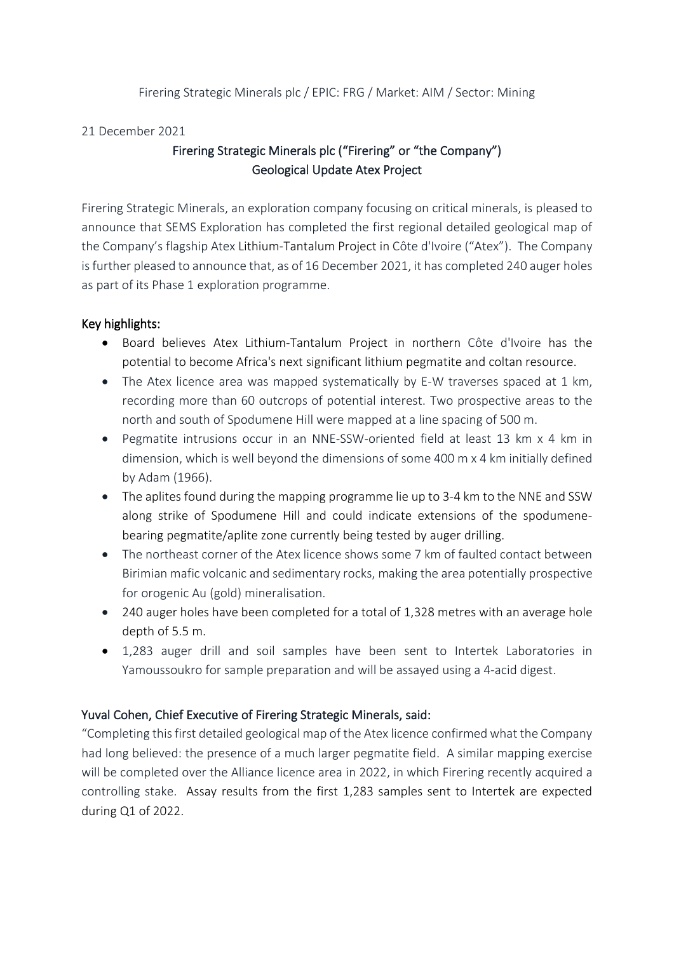#### Firering Strategic Minerals plc / EPIC: FRG / Market: AIM / Sector: Mining

#### 21 December 2021

# Firering Strategic Minerals plc ("Firering" or "the Company") Geological Update Atex Project

Firering Strategic Minerals, an exploration company focusing on critical minerals, is pleased to announce that SEMS Exploration has completed the first regional detailed geological map of the Company's flagship Atex Lithium-Tantalum Project in Côte d'Ivoire ("Atex"). The Company is further pleased to announce that, as of 16 December 2021, it has completed 240 auger holes as part of its Phase 1 exploration programme.

## Key highlights:

- Board believes Atex Lithium-Tantalum Project in northern Côte d'Ivoire has the potential to become Africa's next significant lithium pegmatite and coltan resource.
- The Atex licence area was mapped systematically by E-W traverses spaced at 1 km, recording more than 60 outcrops of potential interest. Two prospective areas to the north and south of Spodumene Hill were mapped at a line spacing of 500 m.
- Pegmatite intrusions occur in an NNE-SSW-oriented field at least 13 km x 4 km in dimension, which is well beyond the dimensions of some 400 m x 4 km initially defined by Adam (1966).
- The aplites found during the mapping programme lie up to 3-4 km to the NNE and SSW along strike of Spodumene Hill and could indicate extensions of the spodumenebearing pegmatite/aplite zone currently being tested by auger drilling.
- The northeast corner of the Atex licence shows some 7 km of faulted contact between Birimian mafic volcanic and sedimentary rocks, making the area potentially prospective for orogenic Au (gold) mineralisation.
- 240 auger holes have been completed for a total of 1,328 metres with an average hole depth of 5.5 m.
- 1,283 auger drill and soil samples have been sent to Intertek Laboratories in Yamoussoukro for sample preparation and will be assayed using a 4-acid digest.

## Yuval Cohen, Chief Executive of Firering Strategic Minerals, said:

"Completing this first detailed geological map of the Atex licence confirmed what the Company had long believed: the presence of a much larger pegmatite field. A similar mapping exercise will be completed over the Alliance licence area in 2022, in which Firering recently acquired a controlling stake. Assay results from the first 1,283 samples sent to Intertek are expected during Q1 of 2022.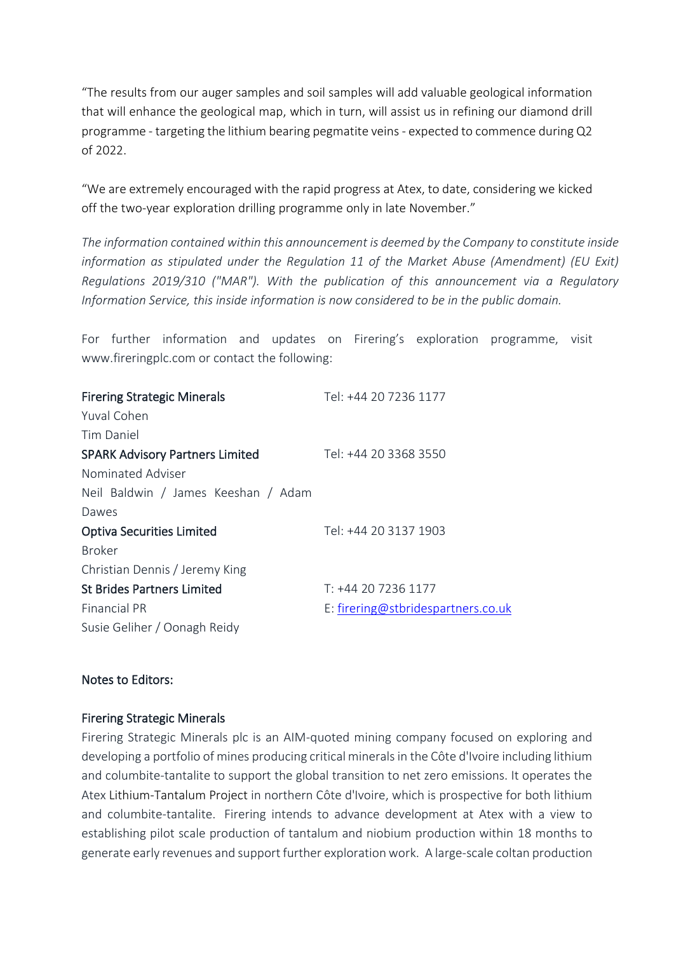"The results from our auger samples and soil samples will add valuable geological information that will enhance the geological map, which in turn, will assist us in refining our diamond drill programme - targeting the lithium bearing pegmatite veins - expected to commence during Q2 of 2022.

"We are extremely encouraged with the rapid progress at Atex, to date, considering we kicked off the two-year exploration drilling programme only in late November."

*The information contained within this announcement is deemed by the Company to constitute inside information as stipulated under the Regulation 11 of the Market Abuse (Amendment) (EU Exit) Regulations 2019/310 ("MAR"). With the publication of this announcement via a Regulatory Information Service, this inside information is now considered to be in the public domain.*

For further information and updates on Firering's exploration programme, visit www.fireringplc.com or contact the following:

| <b>Firering Strategic Minerals</b>     | Tel: +44 20 7236 1177              |
|----------------------------------------|------------------------------------|
| Yuval Cohen                            |                                    |
| Tim Daniel                             |                                    |
| <b>SPARK Advisory Partners Limited</b> | Tel: +44 20 3368 3550              |
| Nominated Adviser                      |                                    |
| Neil Baldwin / James Keeshan / Adam    |                                    |
| Dawes                                  |                                    |
| <b>Optiva Securities Limited</b>       | Tel: +44 20 3137 1903              |
| <b>Broker</b>                          |                                    |
| Christian Dennis / Jeremy King         |                                    |
| <b>St Brides Partners Limited</b>      | T: +44 20 7236 1177                |
| <b>Financial PR</b>                    | E: firering@stbridespartners.co.uk |
| Susie Geliher / Oonagh Reidy           |                                    |

## Notes to Editors:

## Firering Strategic Minerals

Firering Strategic Minerals plc is an AIM-quoted mining company focused on exploring and developing a portfolio of mines producing critical minerals in the Côte d'Ivoire including lithium and columbite-tantalite to support the global transition to net zero emissions. It operates the Atex Lithium-Tantalum Project in northern Côte d'Ivoire, which is prospective for both lithium and columbite-tantalite. Firering intends to advance development at Atex with a view to establishing pilot scale production of tantalum and niobium production within 18 months to generate early revenues and support further exploration work. A large-scale coltan production